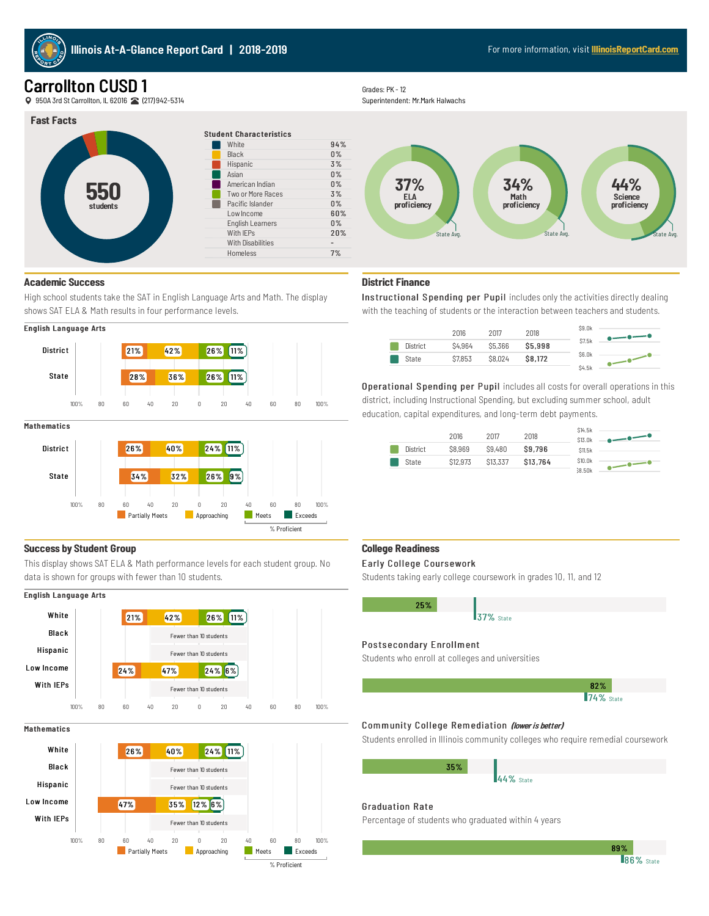

# **Carrollton CUSD 1**

9 950A 3rd St Carrollton, IL 62016 (217) 942-5314

## **Fast Facts**



# Grades: PK - 12

Superintendent: Mr.Mark Halwachs



# **District Finance**

Instructional Spending per Pupil includes only the activities directly dealing with the teaching of students or the interaction between teachers and students.



Operational Spending per Pupil includes all costs for overall operations in this district, including Instructional Spending, but excluding summer school, adult education, capital expenditures, and long-term debt payments.

|          | 2016     | 2017     | 2018     | \$14.5k<br>\$13.0k |  |
|----------|----------|----------|----------|--------------------|--|
| District | \$8,969  | \$9,480  | \$9,796  | <b>S11.5k</b>      |  |
| State    | \$12,973 | \$13,337 | \$13,764 | \$10.0k            |  |
|          |          |          |          | 38.50k             |  |

#### **College Readiness**

I

#### Early College Coursework

Students taking early college coursework in grades 10, 11, and 12

| 25% |           |  |  |
|-----|-----------|--|--|
|     | 37% State |  |  |

#### Postsecondary Enrollment

Students who enroll at colleges and universities



**86%** State 89%

## Community College Remediation (lower is better)

Students enrolled in Illinois community colleges who require remedial coursework

| 35% |           |
|-----|-----------|
|     | 44% State |
|     |           |

## Graduation Rate

Percentage of students who graduated within 4 years

### **Academic Success**

High school students take the SAT in English Language Arts and Math. The display shows SAT ELA & Math results in four performance levels.





#### **Mathematics**



#### **Success by Student Group**

This display shows SAT ELA & Math performance levels for each student group. No data is shown for groups with fewer than 10 students.

### English Language Arts



#### **Mathematics**